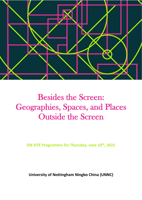

# Besides the Screen: Geographies, Spaces, and Places Outside the Screen

**ON SITE Programme for Thursday, June 10th, 2021** 

**University of Nottingham Ningbo China (UNNC)**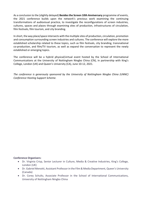As a conclusion to the (slightly delayed) **Besides the Screen 10th Anniversary** programme of events, the 2021 conference builds upon the network's previous work examining the continuing transformations of audiovisual practice, to investigate the reconfigurations of screen industries, cultures, spaces and places through examining sites of production, infrastructures of circulation, film festivals, film tourism, and city branding.

In short, the way place/space intersects with the multiple sites of production, circulation, promotion and consumption surrounding screen industries and cultures. The conference will explore the more established scholarship related to these topics, such as film festivals, city branding, transnational co-production, and film/TV tourism, as well as expand the conversation to represent the newly established or emerging topics.

The conference will be a hybrid physical/virtual event hosted by the School of International Communications at the University of Nottingham Ningbo China (CN), in partnership with King's College, London (UK) and Queen's University (CA), June 10-12, 2021.

*The conference is generously sponsored by the University of Nottingham Ningbo China (UNNC) Conference Hosting Support Scheme.*

#### **Conference Organisers:**

- Dr. Virginia Crisp, Senior Lecturer in Culture, Media & Creative Industries, King's College, London (UK)
- Dr. Gabriel Menotti, Assistant Professor in the Film & Media Department, Queen's University (Canada)
- Dr. Corey Schultz, Associate Professor in the School of International Communications, University of Nottingham Ningbo China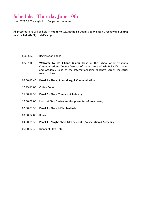## Schedule - Thursday June 10th

(ver. 2021.06.07 - *subject to change and revision*)

All presentations will be held in **Room No. 121 at the Sir David & Lady Susan Greenaway Building, (also called IAMET)**, UNNC campus.

- 8:30-8:50 Registration opens
- 8:50-9:00 **Welcome by Dr. Filippo Gilardi**, Head of the School of International Communications, Deputy Director of the Institute of Asia & Pacific Studies, and Academic Lead of the Internationalizing Ningbo's Screen Industries research base
- 09:00-10:45 **Panel 1 – Place, Storytelling, & Communication**
- 10:45-11:00 Coffee Break
- 11:00-12:30 **Panel 2 – Place, Tourism, & Industry**
- 12:30-02:00 Lunch at Staff Restaurant (for presenters & volunteers)
- 02:00-03:30 **Panel 3 – Place & Film Festivals**
- 03:30-04:00 Break
- 04:00-05:30 **Panel 4 – Ningbo Short Film Festival – Presentation & Screening**
- 05:30-07:30 Dinner at Staff Hotel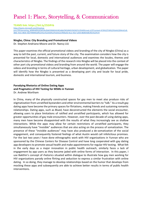# Panel 1: Place, Storytelling, & Communication

**TEAMS link: https://bit.ly/2S3iPrb**

[https://teams.microsoft.com/l/meetup](https://teams.microsoft.com/l/meetup-join/19%3ameeting_MDBhMDQ3ZWEtNzZkMC00MGI4LWExNjktZWQ4M2I2N2M2YzI3%40thread.v2/0?context=%7b%22Tid%22%3a%2204c4c5c8-db8c-41b1-882b-5bb7948405e8%22%2c%22Oid%22%3a%22cf406a5b-9cce-43a7-a503-8b0654d61fb1%22%7d)[join/19%3ameeting\\_MDBhMDQ3ZWEtNzZkMC00MGI4LWExNjktZWQ4M2I2N2M2YzI3%40thread.v2/0?context=%7b%22Tid%22%3a%2204c4c5c8](https://teams.microsoft.com/l/meetup-join/19%3ameeting_MDBhMDQ3ZWEtNzZkMC00MGI4LWExNjktZWQ4M2I2N2M2YzI3%40thread.v2/0?context=%7b%22Tid%22%3a%2204c4c5c8-db8c-41b1-882b-5bb7948405e8%22%2c%22Oid%22%3a%22cf406a5b-9cce-43a7-a503-8b0654d61fb1%22%7d) [db8c-41b1-882b-5bb7948405e8%22%2c%22Oid%22%3a%22cf406a5b-9cce-43a7-a503-8b0654d61fb1%22%7d](https://teams.microsoft.com/l/meetup-join/19%3ameeting_MDBhMDQ3ZWEtNzZkMC00MGI4LWExNjktZWQ4M2I2N2M2YzI3%40thread.v2/0?context=%7b%22Tid%22%3a%2204c4c5c8-db8c-41b1-882b-5bb7948405e8%22%2c%22Oid%22%3a%22cf406a5b-9cce-43a7-a503-8b0654d61fb1%22%7d)

#### **Ningbo, China: City Branding and Promotional Videos**

Dr. Stephen Andriano-Moore and Dr. Nancy LIU

This paper examines the official promotional videos and branding of the city of Ningbo (China) as a way to tell the past, current, and future story of the city. The examination considers how the city is presented for local, domestic and international audiences and examines the locales, themes and characteristics of Ningbo. The findings of the research into Ningbo will be placed into the context of other port city promotional videos and branding from around the world. The paper will engage the videos and branding in terms of cultural heritage, urban development, and globalization. The paper will identify how the Ningbo is presented as a developing port city and locale for local pride, domestic and international tourism, and business.

#### **Parodying Rhetorics of Online Dating Apps and Pragmatics of HIV Testing for MSMs in Yunnan** Dr. Andrew Wortham

In China, many of the physically constructed spaces for gay men to meet also produce risks of stigmatization from unratified bystanders and other environmental barriers to "talk." As a result gay dating apps have become the primary spaces for flirtations, making friends and sustaining romantic relationships. Dating apps, such as Blued, have deconstructed the elements the social encounter, allowing users to place limitations of ratified and unratified participants, which has allowed for greater opportunities of gay male encounters. However, over the past decade of using dating apps, many men have become disappointed with the results of what they increasingly see as shallow interactions. While the apps may allow for certain restrictions of unratified participants, they simultaneously have "invisible" audiences that are also acting on the process of somatization. The presence of these "invisible audiences" may have also produced a de-somatization of the social engagement, and consequently fostered feelings of what Austin would call infelicitous promises. For the last two years I have done ethnographic work with HIV organizations in Yunnan who are sponsored by the Chinese Centers for Disease Control and have long cooperated with gay dating app developers to promote sexual health and make appointments for regular HIV testing. What felt in the early days as a major innovation in public health outreach, similarly faces a lack of engagement by app users as they become jaded with online forms of interaction. In this paper, I use Bakthin's concept of rhetorics situated within dialogue to illustrate how gay men working for HIV organizations parody online flirting and seduction to express a similar frustration with online dating. In so doing, they manage to develop relationships based on the humor that develops from mocking these apps and subsequently are able to achieve better results in terms of public health interventions.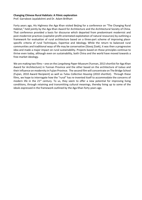#### **Changing Chinese Rural Habitats: A Filmic exploration**

Prof. Garrabost Jayalakshmi and Dr. Adam Brillhart

Forty years ago, His Highness the Aga Khan visited Beijing for a conference on "The Changing Rural Habitat," held jointly by the Aga Khan Award for Architecture and the Architectural Society of China. That conference provided a basis for discourse which departed from predominant modernist and post-modernist practices (capitalist profit-orientated exploitation of natural resources) by outlining a framework for evaluation of rural architecture based on a three-part scheme of improving placespecific criteria of rural Techniques, Expertise and Ideology. While the return to balanced rural communities and traditional ways of life may be conservative (Slavoj Zizek), it was then a progressive idea and made a major impact on rural sustainability. Projects based on those principles continue to thrive even today, although even on sustainability, both China and the world have moved towards a free-market ideology.

We are making two films – one on the *Longshang Paper Museum* (Yunnan, 2013 shortlist for Aga Khan Award for Architecture) in Yunnan Province and the other based on the architecture of *tulous* and their influence on modernity in Fujian Province. The second film will concentrate on The Bridge School (Fujian, 2010 Award Recipient) as well as *Tulou Collective Housing* (2010 shortlist). Through these films, we hope to interrogate how the "rural" has re-invented itself to accommodate the concerns of modern life in the  $21^{st}$  century. To us, they seem to offer a new potential for improving living conditions, through retaining and transmitting cultural meanings, thereby living up to some of the ideals expressed in the framework outlined by the Aga Khan forty years ago.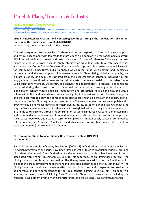# Panel 2: Place, Tourism, & Industry

#### **TEAMS link: https://bit.ly/3vOflaw**

[https://teams.microsoft.com/l/meetup-](https://teams.microsoft.com/l/meetup-join/19%3ameeting_MThhYThkMWYtY2U0OC00ZjRkLTk0NzMtMWQ5MzA1YmM4NDky%40thread.v2/0?context=%7b%22Tid%22%3a%2204c4c5c8-db8c-41b1-882b-5bb7948405e8%22%2c%22Oid%22%3a%22cf406a5b-9cce-43a7-a503-8b0654d61fb1%22%7d)

[join/19%3ameeting\\_MThhYThkMWYtY2U0OC00ZjRkLTk0NzMtMWQ5MzA1YmM4NDky%40thread.v2/0?context=%7b%22Tid%22%3a%2204c4c5c8](https://teams.microsoft.com/l/meetup-join/19%3ameeting_MThhYThkMWYtY2U0OC00ZjRkLTk0NzMtMWQ5MzA1YmM4NDky%40thread.v2/0?context=%7b%22Tid%22%3a%2204c4c5c8-db8c-41b1-882b-5bb7948405e8%22%2c%22Oid%22%3a%22cf406a5b-9cce-43a7-a503-8b0654d61fb1%22%7d) [db8c-41b1-882b-5bb7948405e8%22%2c%22Oid%22%3a%22cf406a5b-9cce-43a7-a503-8b0654d61fb1%22%7d](https://teams.microsoft.com/l/meetup-join/19%3ameeting_MThhYThkMWYtY2U0OC00ZjRkLTk0NzMtMWQ5MzA1YmM4NDky%40thread.v2/0?context=%7b%22Tid%22%3a%2204c4c5c8-db8c-41b1-882b-5bb7948405e8%22%2c%22Oid%22%3a%22cf406a5b-9cce-43a7-a503-8b0654d61fb1%22%7d)

#### **Virtual heterotopias: Creating and contesting identities through the remediation of content tourism on the mobile screens of Bilibili [ONLINE]**

Dr. Zhen Troy CHEN and Dr. Melissa Shani Brown

This article explores the ways in which *Otaku* subculture, and in particular the creation, consumption and critical engagement with fan-made tourism videos on a popular Chinese social media platform Bilibili, functions both to create and juxtapose various "spaces of otherness." Drawing the term "spaces of otherness" from Foucault's "heterotopias," we argue that such sites create spaces which are on one hand "other" to the "real world" – spaces of escape and pleasure – spaces which sustain fan communities/subcultures, but also spaces which reveal underlying political and ideological tensions around the consumption of Japanese culture in China. Using digital ethnography, we explore a variety of discourses captured from the user generated contents, including tourism vlogs/videos, conventional reviews and novel *danmaku* comments overlaid on the video frame. Using qualitative methods, we identify and analyse the agents/subjects, processes, and meanings produced during the construction of these various heterotopias. We argue despite a postglobalisation context where populism, nationalism and protectionism is on the rise, the virtual sphere within the fandom and *Otaku* subculture highlights the various tensions between the global and the local. Paradoxically, the competing ideologies are channelled through the construction of these heterotopias. Situating Japan as the other, the Chinese audiences creatively manipulate a rich array of textual and visual materials for their own purposes. Based on our analysis, we unpack the way the Sino-Japanese relationship takes shape in post-globalisation, in the geopolitical sphere, but also in the cultural sphere through the consumption of tourism induced by Japanese animated films, and the remediation of Japanese culture and tourism videos hosted therein. We further argue that such spaces need to be understood in terms of complexity – simultaneously spaces of commodified culture, of imagined "otherness," of leisure, and sites in which various types of identities (fandom, nation, hometown) are created and contested.

#### **The Filming Locations Tourism: Filming Base Tourism in China [ONLINE]**

Dr. Jinuo DIAO

Film-induced tourism is defined by Sue Beeton (2005: 11) as "visitation to sites where movies and television programmes and series have been filmed as well as tours to production studios, including film related theme parks" and "visitation of a site or a location, that is or has been used for or is associated with filming"( Buchmann, 2010: 233). This paper focuses on filming base tourism – the filming base as the visitation destination. The filming base created its tourism function, which expands the chain development of the film and television industries and the tourism industry. The filming base tourism shows a win-win effect for both industries, and is expected to provide the adding value and core competencies to the "dual genetic" Filming Base Tourism. This paper will analyse the development of Filming Base Tourism in China from three aspects, including the historical development overview, the characteristics, and the existing issues and future trends.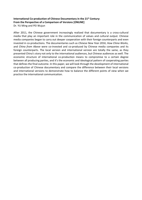#### **International Co-production of Chinese Documentary in the 21st Century: From the Perspective of a Comparison of Versions [ONLINE]** Dr. YU Ming and PEI Wujun

After 2011, the Chinese government increasingly realized that documentary is a cross-cultural media that play an important role in the communication of values and cultural output. Chinese media companies began to carry out deeper cooperation with their foreign counterparts and even invested in co-productions. The documentaries such as *Chinese New Year 2016*, *How China Works*, and *China from Above* were co-invested and co-produced by Chinese media companies and its foreign counterparts. The local version and international version are totally the same, as they presented China's story not only to the international audiences, but Chinese audiences as well. The economic structure of international co-production means to compromise to a certain degree between all producing parties, and it's the economic and ideological pattern of cooperating parties that defines the final outcome. In this paper, we will look through the development of international co-production of Chinese documentary and compare the difference between their local versions and international versions to demonstrate how to balance the different points of view when we practice the international communication.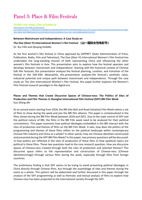# Panel 3: Place & Film Festivals

#### **TEAMS Link: https://bit.ly/3vMnLzd**

[https://teams.microsoft.com/l/meetup](https://teams.microsoft.com/l/meetup-join/19%3ameeting_YTI3NzFhYmItYmJiNS00ZThhLWFhNTctNTBmNTQ1YWI1NDEz%40thread.v2/0?context=%7b%22Tid%22%3a%2204c4c5c8-db8c-41b1-882b-5bb7948405e8%22%2c%22Oid%22%3a%22cf406a5b-9cce-43a7-a503-8b0654d61fb1%22%7d)[join/19%3ameeting\\_YTI3NzFhYmItYmJiNS00ZThhLWFhNTctNTBmNTQ1YWI1NDEz%40thread.v2/0?context=%7b%22Tid%22%3a%2204c4c5c8-db8c-](https://teams.microsoft.com/l/meetup-join/19%3ameeting_YTI3NzFhYmItYmJiNS00ZThhLWFhNTctNTBmNTQ1YWI1NDEz%40thread.v2/0?context=%7b%22Tid%22%3a%2204c4c5c8-db8c-41b1-882b-5bb7948405e8%22%2c%22Oid%22%3a%22cf406a5b-9cce-43a7-a503-8b0654d61fb1%22%7d)[41b1-882b-5bb7948405e8%22%2c%22Oid%22%3a%22cf406a5b-9cce-43a7-a503-8b0654d61fb1%22%7d](https://teams.microsoft.com/l/meetup-join/19%3ameeting_YTI3NzFhYmItYmJiNS00ZThhLWFhNTctNTBmNTQ1YWI1NDEz%40thread.v2/0?context=%7b%22Tid%22%3a%2204c4c5c8-db8c-41b1-882b-5bb7948405e8%22%2c%22Oid%22%3a%22cf406a5b-9cce-43a7-a503-8b0654d61fb1%22%7d)

#### **Between Mainstream and Independence: A Case Study on**

**The One (Shan Yi) International Women's Film Festival (山一国际女性电影节)**

Dr. Rui YAO and Qinqing HUANG

As the first women's film festival in China approved by SAPPRFT (State Administration of Press, Publication, Radio, Film and Television), The One (*Shan Yi*) International Women's Film Festival has undertaken the long-standing mission of both representing China and influencing the other women's film festivals in Asia. This presentation aims to explore how the festival operates and develops between mainstream and independence. Starting with the historical context of Chinese folk film festivals, this presentation analyzes the festival planning, curation, and transition of the festival in the SHE-ERA. Meanwhile, this presentation analyzes the festival's aesthetic value, industrial potential and unique path between mainstream and independence. Through the case study on The One International Women's Film Festival, this paper further explores the Women's Film Festival research paradigm in the digital era.

#### **Places and Themes that Create Discursive Spaces of Chinese-ness: The Politics of Sites of Production and Film Themes in Shanghai International Film Festival (SIFF) BRI Film Week** Gus Sifang AN

As an annual event starting from 2018, the BRI (the Belt and Road Initiative) Film Week selects a set of films to show during the week and join the BRI film alliance. This paper is contextualized in the films shown during the BRI Film Week between 2018 and 2021. Due to the state control of SIFF and the political nature of BRI, the films in the BRI Film week need to be analyzed for their political connotations. This paper examines how political ideologies embedded in the BRI interact with the sites of production and themes of films on the BRI Film Week. It asks, how does the politics of the programming and themes of these films reflect on the political landscape within contemporary Chinese film industry and China as a whole? In other words, how are Chinese identities constructed and presented during the SIFF BRI Film Week? In this paper, two primary questions will be discussed: 1) how politics are reflected in the sites of production of these films 2) How apolitical topics are political in these films. These two questions lead to the core research question: How are discursive spaces of Chinese-ness created through both the sites of production and selected themes? This discursive space refers to the representation and construction of Chinese-ness (Chinese identities/image) through various films during the week, especially through films from foreign countries.

The preliminary finding is that SIFF seems to be trying to avoid presenting political ideologies in China directly through Chinese films, but through the assemblage of sites and themes during the event as a whole. This pattern will be elaborated and further discussed in this paper through the analysis of the SIFF programming as well as thematic and textual analysis of films to explore how Chinese-ness has been projected to the international society through the SIFF.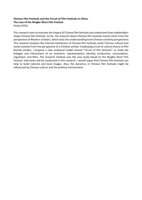#### **Chinese Film Festivals and the Circuit of Film Festivals In China: The case of the Ningbo Short Film Festival** Panjia ZHOU

This research aims to evaluate the impact of Chinese film festivals and understand how stakeholders shape Chinese film festivals. So far, the research about Chinese film festivals mainly starts from the perspective of Western scholars, which lacks the understanding from Chinese scholarly perspectives. This research analyzes the internal mechanism of Chinese film festivals under Chinese cultural and social contexts from the perspective of a Chinese scholar. Employing circuit of culture theory to film festival studies, I propose a new analytical model named "Circuit of film festivals" to study the linkages and interactions of six moments: representation, identity, production, consumption, regulation, and films. The research method uses the case study based on the Ningbo Short Film Festival. Interviews will be conducted in this research. I would argue that Chinese film festivals can help to build national and local images. Also, the dynamics in Chinese film festivals might be influenced by Chinese culture and the political environment.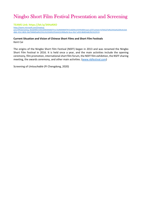## Ningbo Short Film Festival Presentation and Screening

#### **TEAMS Link: https://bit.ly/34HaNXO**

[https://teams.microsoft.com/l/meetup](https://teams.microsoft.com/l/meetup-join/19%3ameeting_MzQ5MDU1ODctZDE0OS00ZTFmLTk2NWMtMTlhY2U0ZWUzYjY4%40thread.v2/0?context=%7b%22Tid%22%3a%2204c4c5c8-db8c-41b1-882b-5bb7948405e8%22%2c%22Oid%22%3a%22cf406a5b-9cce-43a7-a503-8b0654d61fb1%22%7d)[join/19%3ameeting\\_MzQ5MDU1ODctZDE0OS00ZTFmLTk2NWMtMTlhY2U0ZWUzYjY4%40thread.v2/0?context=%7b%22Tid%22%3a%2204c4c5c8](https://teams.microsoft.com/l/meetup-join/19%3ameeting_MzQ5MDU1ODctZDE0OS00ZTFmLTk2NWMtMTlhY2U0ZWUzYjY4%40thread.v2/0?context=%7b%22Tid%22%3a%2204c4c5c8-db8c-41b1-882b-5bb7948405e8%22%2c%22Oid%22%3a%22cf406a5b-9cce-43a7-a503-8b0654d61fb1%22%7d) [db8c-41b1-882b-5bb7948405e8%22%2c%22Oid%22%3a%22cf406a5b-9cce-43a7-a503-8b0654d61fb1%22%7d](https://teams.microsoft.com/l/meetup-join/19%3ameeting_MzQ5MDU1ODctZDE0OS00ZTFmLTk2NWMtMTlhY2U0ZWUzYjY4%40thread.v2/0?context=%7b%22Tid%22%3a%2204c4c5c8-db8c-41b1-882b-5bb7948405e8%22%2c%22Oid%22%3a%22cf406a5b-9cce-43a7-a503-8b0654d61fb1%22%7d)

#### **Current Situation and Vision of Chinese Short Films and Short Film Festivals**

Kent Cai

The origins of the Ningbo Short Film Festival (NSFF) began in 2013 and was renamed the Ningbo Short Film Festival in 2016. It is held once a year, and the main activities include the opening ceremony, film promotion, international short film forum, the NSFF film exhibition, the NSFF sharing meeting, the awards ceremony, and other main activities. [\(www.nbfestival.com\)](http://www.nbfestival.com/)

Screening of *Untouchable* (Pi Chengdong, 2020)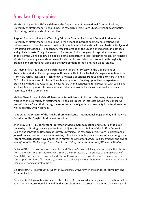# Speaker Biographies

Mr. Gus Sifang AN is a PhD candidate at the Department of International Communications, University of Nottingham Ningbo China. His research interests are Chinese film, film aesthetics, film theory, politics, and cultural studies.

Stephen Andriano-Moore is a Teaching Fellow in Communication and Cultural Studies at the University of Nottingham Ningbo China in the School of International Communications. His primary research is on issues and politics of labor in media industries with emphasis on Hollywood film sound professions. His secondary research area is on the China film industries in both local and global contexts. The global research focuses on China-Hollywood co-productions and the impacts of the China film law on global cinema. Research into local industries focuses on Ningbo's efforts for becoming a world-renowned locale for film and television production through city branding and promotional video and the development of the Xiangshan Global Studio.

Dr. Adam Brillhart is a practicing architect and Assistant Professor in the Department of Architecture at Xi'an Jiaotong-Liverpool University. He holds a Bachelor's degree in Architecture from New Jersey Institute of Technology, a Master's of Science from Columbia University, and a PhD in Architecture and Art from China Academy of Art. Building upon diverse experiences practicing with Adjaye Associates in New York City and conducting rural research with Wang Shu at China Academy of Art, his work as an architect and writer focuses on material processes, tectonics, and instrumentality.

Melissa Shani Brown, PhD is affiliated with Ruhr-Universität Bochum, Germany. She previously worked at the University of Nottingham Ningbo. Her research interests include the conceptual uses of "silence" in critical theory, the representation of gender and sexuality in cultural texts, as well as identity within tourism.

Kent CAI is the Director of the Ningbo Short Film Festival International Engagement, and the Vice President of the Ningbo Short Film Association.

Zhen Troy CHEN, PhD is Assistant Professor of Media, Communication and Cultural Studies at University of Nottingham Ningbo. He is also Adjunct Research Fellow of the Griffith Centre for Design and Innovation Research at Griffith University. His research interests are in digital media, journalism, cultural and creative industries, cultural and media policy, and experience design. His recent research papers have appeared in *Journal of Consumer Culture*, *Social Semiotics* and *Ethics and Information Technology, Global Media and China, and Asian Journal of Women's Studies.*

Dr Jinuo DIAO, is a Postdoctoral researcher and 'Shuimu Scholar' at Tsinghua University. Her PhD is from the University of St Andrews (UK). Before the PhD research, she studied at the University of Bristol (UK) and had been awarded a Master of Philosophy. Her current research focusses on the contemporary Chinese film industry, as well as scrutinising various phenomena at the intersection of film industry and cultural tourism.

Qinqing HUANG is a graduate student at Guangzhou University, in the School of Journalism and Communication.

Professor G. D Jayalakshmi (or Jaya as she is known) is an award-winning, experienced film-maker, educator and international film and media consultant whose career has spanned a wide range of